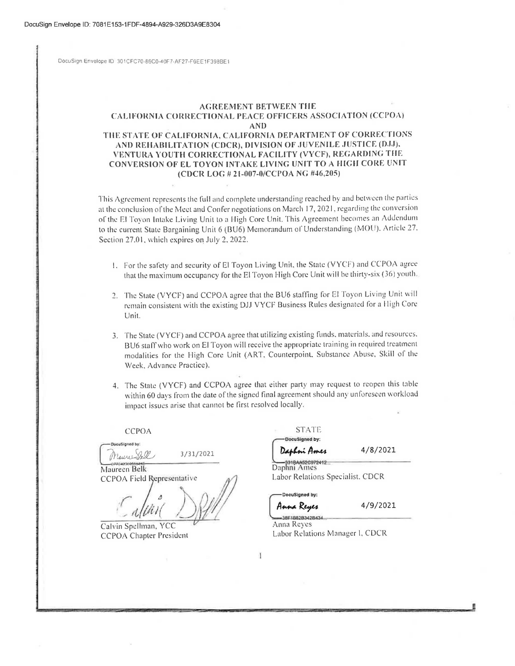OocuSign Envelope ID 301CFC70-86C0-40F7-AF27-F6EE 1F398BE 1

## **AGREEMENT BETWEEN TIIE**  CALIFORNIA CORRECTIONAL PEACE OFFICERS ASSOCIATION (CCPOA) **AND**  THE STATE OF CALIFORNIA, CALIFORNIA DEPARTMENT OF CORRECTIONS AND REHABILITATION (CDCR), DIVISION OF JUVENILE JUSTICE (DJJ), **VENTURA YOUTH CORRECTIONAL FACILITY (VYCF), RECAHDING THE CONVERSION OF EL TOYON INTAKE LIVING UNIT TO A HIGH CORE UNIT**

## **(CDCR LOr.** # **21-007-0/CCl'OA NG #46,205)**

This Agreement represents the full and complete understanding reached by and between the parties at the conclusion of the Meet and Confer negotiations on March 17, 2021, regarding the conversion of the El Toyon Intake Living Unit to a High Core Unit. This Agreement becomes an Addendum to the current State Bargaining Unit 6 (BU6) Memorandum of Understanding (MOU). Article 27. Section 27.01, which expires on July 2, 2022.

- 1. For the safety and security of El Toyon Living Unit, the State (VYCF) and CCPOA agree that the maximum occupancy for the El Toyon High Core Unit will be thirty-six (36) youth,
- *2.* The State (VYCF) and CCPOA agree that the BU6 staffing for El Toyon Living Unit will remain consistent with the existing DJJ VYCF Business Rules designated for a High Core Unit.
- 3. The State (VYCF) and CCPOA agree that utilizing existing funds, materials, and resources, BU6 staff who work on El Toyon will receive the appropriate training in required treatment modalities for the High Core Unit (ART, Counterpoint, Substance Abuse, Skill of the Week, Advance Practice).
- 4. The Stale (VYCF) and CCPOA agree that either party may request to reopen this table within 60 days from the date of the signed final agreement should any unforeseen workload impact issues arise that cannot be first resolved locally.

MaurenBell 3/31/2021

Maureen Belk CCPOA Field Representative

Calvin Spellman, YCC **CCPOA Chapter President** 

CCPOA STATE STATE

Daphni Ames 31BAA52C972412

 $4/8/2021$ 

Daphni Ames Labor Relations Specialist. CDCR

DocuSigned by:

Anna Reyes 38F1B82B342B43

4/9/2021

Anna Reyes Labor Relations Manager I, CDCR

 $\mathbf{1}$